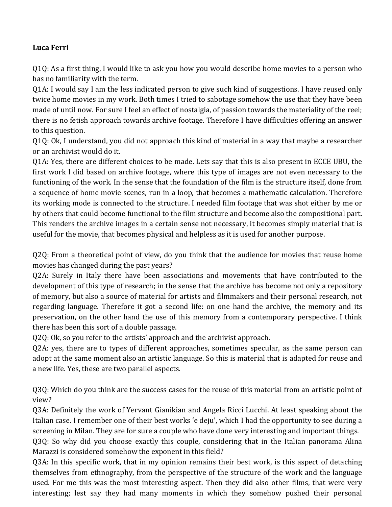## **Luca Ferri**

Q1Q: As a first thing, I would like to ask you how you would describe home movies to a person who has no familiarity with the term.

Q1A: I would say I am the less indicated person to give such kind of suggestions. I have reused only twice home movies in my work. Both times I tried to sabotage somehow the use that they have been made of until now. For sure I feel an effect of nostalgia, of passion towards the materiality of the reel; there is no fetish approach towards archive footage. Therefore I have difficulties offering an answer to this question.

Q1Q: Ok, I understand, you did not approach this kind of material in a way that maybe a researcher or an archivist would do it.

Q1A: Yes, there are different choices to be made. Lets say that this is also present in ECCE UBU, the first work I did based on archive footage, where this type of images are not even necessary to the functioning of the work. In the sense that the foundation of the film is the structure itself, done from a sequence of home movie scenes, run in a loop, that becomes a mathematic calculation. Therefore its working mode is connected to the structure. I needed film footage that was shot either by me or by others that could become functional to the film structure and become also the compositional part. This renders the archive images in a certain sense not necessary, it becomes simply material that is useful for the movie, that becomes physical and helpless as it is used for another purpose.

Q2Q: From a theoretical point of view, do you think that the audience for movies that reuse home movies has changed during the past years?

Q2A: Surely in Italy there have been associations and movements that have contributed to the development of this type of research; in the sense that the archive has become not only a repository of memory, but also a source of material for artists and filmmakers and their personal research, not regarding language. Therefore it got a second life: on one hand the archive, the memory and its preservation, on the other hand the use of this memory from a contemporary perspective. I think there has been this sort of a double passage.

Q2Q: Ok, so you refer to the artists' approach and the archivist approach.

Q2A: yes, there are to types of different approaches, sometimes specular, as the same person can adopt at the same moment also an artistic language. So this is material that is adapted for reuse and a new life. Yes, these are two parallel aspects.

Q3Q: Which do you think are the success cases for the reuse of this material from an artistic point of view? 

Q3A: Definitely the work of Yervant Gianikian and Angela Ricci Lucchi. At least speaking about the Italian case. I remember one of their best works 'e deju', which I had the opportunity to see during a screening in Milan. They are for sure a couple who have done very interesting and important things. Q3Q: So why did you choose exactly this couple, considering that in the Italian panorama Alina Marazzi is considered somehow the exponent in this field?

Q3A: In this specific work, that in my opinion remains their best work, is this aspect of detaching themselves from ethnography, from the perspective of the structure of the work and the language used. For me this was the most interesting aspect. Then they did also other films, that were very interesting; lest say they had many moments in which they somehow pushed their personal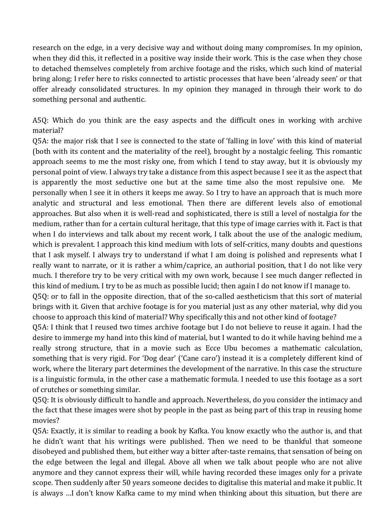research on the edge, in a very decisive way and without doing many compromises. In my opinion, when they did this, it reflected in a positive way inside their work. This is the case when they chose to detached themselves completely from archive footage and the risks, which such kind of material bring along; I refer here to risks connected to artistic processes that have been 'already seen' or that offer already consolidated structures. In my opinion they managed in through their work to do something personal and authentic.

A5Q: Which do you think are the easy aspects and the difficult ones in working with archive material?

Q5A: the major risk that I see is connected to the state of 'falling in love' with this kind of material (both with its content and the materiality of the reel), brought by a nostalgic feeling. This romantic approach seems to me the most risky one, from which I tend to stay away, but it is obviously my personal point of view. I always try take a distance from this aspect because I see it as the aspect that is apparently the most seductive one but at the same time also the most repulsive one. Me personally when I see it in others it keeps me away. So I try to have an approach that is much more analytic and structural and less emotional. Then there are different levels also of emotional approaches. But also when it is well-read and sophisticated, there is still a level of nostalgia for the medium, rather than for a certain cultural heritage, that this type of image carries with it. Fact is that when I do interviews and talk about my recent work, I talk about the use of the analogic medium, which is prevalent. I approach this kind medium with lots of self-critics, many doubts and questions that I ask myself. I always try to understand if what I am doing is polished and represents what I really want to narrate, or it is rather a whim/caprice, an authorial position, that I do not like very much. I therefore try to be very critical with my own work, because I see much danger reflected in this kind of medium. I try to be as much as possible lucid; then again I do not know if I manage to.

Q5Q: or to fall in the opposite direction, that of the so-called aestheticism that this sort of material brings with it. Given that archive footage is for you material just as any other material, why did you choose to approach this kind of material? Why specifically this and not other kind of footage?

Q5A: I think that I reused two times archive footage but I do not believe to reuse it again. I had the desire to immerge my hand into this kind of material, but I wanted to do it while having behind me a really strong structure, that in a movie such as Ecce Ubu becomes a mathematic calculation, something that is very rigid. For 'Dog dear' ('Cane caro') instead it is a completely different kind of work, where the literary part determines the development of the narrative. In this case the structure is a linguistic formula, in the other case a mathematic formula. I needed to use this footage as a sort of crutches or something similar.

Q5Q: It is obviously difficult to handle and approach. Nevertheless, do you consider the intimacy and the fact that these images were shot by people in the past as being part of this trap in reusing home movies?

Q5A: Exactly, it is similar to reading a book by Kafka. You know exactly who the author is, and that he didn't want that his writings were published. Then we need to be thankful that someone disobeyed and published them, but either way a bitter after-taste remains, that sensation of being on the edge between the legal and illegal. Above all when we talk about people who are not alive anymore and they cannot express their will, while having recorded these images only for a private scope. Then suddenly after 50 years someone decides to digitalise this material and make it public. It is always ...I don't know Kafka came to my mind when thinking about this situation, but there are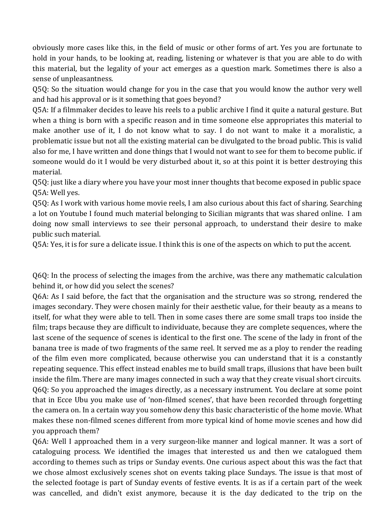obviously more cases like this, in the field of music or other forms of art. Yes you are fortunate to hold in your hands, to be looking at, reading, listening or whatever is that you are able to do with this material, but the legality of your act emerges as a question mark. Sometimes there is also a sense of unpleasantness.

Q5Q: So the situation would change for you in the case that you would know the author very well and had his approval or is it something that goes beyond?

Q5A: If a filmmaker decides to leave his reels to a public archive I find it quite a natural gesture. But when a thing is born with a specific reason and in time someone else appropriates this material to make another use of it, I do not know what to say. I do not want to make it a moralistic, a problematic issue but not all the existing material can be divulgated to the broad public. This is valid also for me, I have written and done things that I would not want to see for them to become public. if someone would do it I would be very disturbed about it, so at this point it is better destroying this material. 

Q5Q: just like a diary where you have your most inner thoughts that become exposed in public space Q5A: Well yes.

Q5Q: As I work with various home movie reels, I am also curious about this fact of sharing. Searching a lot on Youtube I found much material belonging to Sicilian migrants that was shared online. I am doing now small interviews to see their personal approach, to understand their desire to make public such material.

Q5A: Yes, it is for sure a delicate issue. I think this is one of the aspects on which to put the accent.

Q6Q: In the process of selecting the images from the archive, was there any mathematic calculation behind it, or how did you select the scenes?

Q6A: As I said before, the fact that the organisation and the structure was so strong, rendered the images secondary. They were chosen mainly for their aesthetic value, for their beauty as a means to itself, for what they were able to tell. Then in some cases there are some small traps too inside the film; traps because they are difficult to individuate, because they are complete sequences, where the last scene of the sequence of scenes is identical to the first one. The scene of the lady in front of the banana tree is made of two fragments of the same reel. It served me as a ploy to render the reading of the film even more complicated, because otherwise you can understand that it is a constantly repeating sequence. This effect instead enables me to build small traps, illusions that have been built inside the film. There are many images connected in such a way that they create visual short circuits. Q6Q: So you approached the images directly, as a necessary instrument. You declare at some point that in Ecce Ubu you make use of 'non-filmed scenes', that have been recorded through forgetting the camera on. In a certain way you somehow deny this basic characteristic of the home movie. What makes these non-filmed scenes different from more typical kind of home movie scenes and how did you approach them?

Q6A: Well I approached them in a very surgeon-like manner and logical manner. It was a sort of cataloguing process. We identified the images that interested us and then we catalogued them according to themes such as trips or Sunday events. One curious aspect about this was the fact that we chose almost exclusively scenes shot on events taking place Sundays. The issue is that most of the selected footage is part of Sunday events of festive events. It is as if a certain part of the week was cancelled, and didn't exist anymore, because it is the day dedicated to the trip on the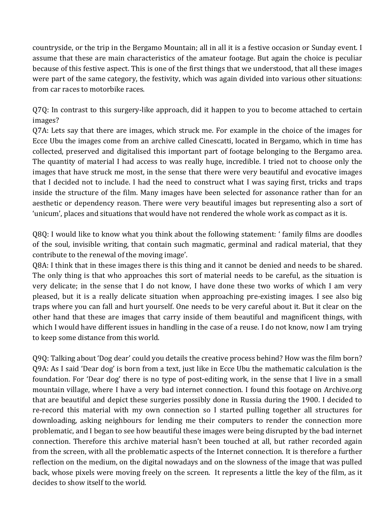countryside, or the trip in the Bergamo Mountain; all in all it is a festive occasion or Sunday event. I assume that these are main characteristics of the amateur footage. But again the choice is peculiar because of this festive aspect. This is one of the first things that we understood, that all these images were part of the same category, the festivity, which was again divided into various other situations: from car races to motorbike races.

Q7Q: In contrast to this surgery-like approach, did it happen to you to become attached to certain images?

Q7A: Lets say that there are images, which struck me. For example in the choice of the images for Ecce Ubu the images come from an archive called Cinescatti, located in Bergamo, which in time has collected, preserved and digitalised this important part of footage belonging to the Bergamo area. The quantity of material I had access to was really huge, incredible. I tried not to choose only the images that have struck me most, in the sense that there were very beautiful and evocative images that I decided not to include. I had the need to construct what I was saying first, tricks and traps inside the structure of the film. Many images have been selected for assonance rather than for an aesthetic or dependency reason. There were very beautiful images but representing also a sort of 'unicum', places and situations that would have not rendered the whole work as compact as it is.

Q8Q: I would like to know what you think about the following statement: ' family films are doodles of the soul, invisible writing, that contain such magmatic, germinal and radical material, that they contribute to the renewal of the moving image'.

Q8A: I think that in these images there is this thing and it cannot be denied and needs to be shared. The only thing is that who approaches this sort of material needs to be careful, as the situation is very delicate; in the sense that I do not know, I have done these two works of which I am very pleased, but it is a really delicate situation when approaching pre-existing images. I see also big traps where you can fall and hurt yourself. One needs to be very careful about it. But it clear on the other hand that these are images that carry inside of them beautiful and magnificent things, with which I would have different issues in handling in the case of a reuse. I do not know, now I am trying to keep some distance from this world.

Q9Q: Talking about 'Dog dear' could you details the creative process behind? How was the film born? Q9A: As I said 'Dear dog' is born from a text, just like in Ecce Ubu the mathematic calculation is the foundation. For 'Dear dog' there is no type of post-editing work, in the sense that I live in a small mountain village, where I have a very bad internet connection. I found this footage on Archive.org that are beautiful and depict these surgeries possibly done in Russia during the 1900. I decided to re-record this material with my own connection so I started pulling together all structures for downloading, asking neighbours for lending me their computers to render the connection more problematic, and I began to see how beautiful these images were being disrupted by the bad internet connection. Therefore this archive material hasn't been touched at all, but rather recorded again from the screen, with all the problematic aspects of the Internet connection. It is therefore a further reflection on the medium, on the digital nowadays and on the slowness of the image that was pulled back, whose pixels were moving freely on the screen. It represents a little the key of the film, as it decides to show itself to the world.